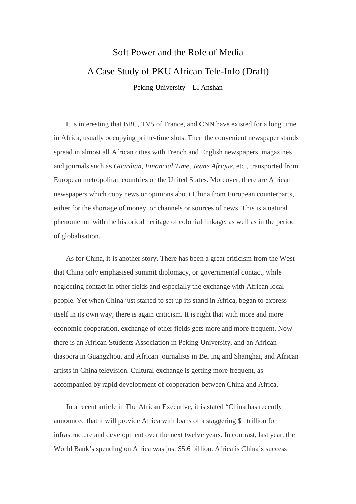# Soft Power and the Role of Media A Case Study of PKU African Tele-Info (Draft) Peking University LI Anshan

It is interesting that BBC, TV5 of France, and CNN have existed for a long time in Africa, usually occupying prime-time slots. Then the convenient newspaper stands spread in almost all African cities with French and English newspapers, magazines and journals such as *Guardian*, *Financial Time*, *Jeune Afrique*, etc., transported from European metropolitan countries or the United States. Moreover, there are African newspapers which copy news or opinions about China from European counterparts, either for the shortage of money, or channels or sources of news. This is a natural phenomenon with the historical heritage of colonial linkage, as well as in the period of globalisation.

As for China, it is another story. There has been a great criticism from the West that China only emphasised summit diplomacy, or governmental contact, while neglecting contact in other fields and especially the exchange with African local people. Yet when China just started to set up its stand in Africa, began to express itself in its own way, there is again criticism. It is right that with more and more economic cooperation, exchange of other fields gets more and more frequent. Now there is an African Students Association in Peking University, and an African diaspora in Guangzhou, and African journalists in Beijing and Shanghai, and African artists in China television. Cultural exchange is getting more frequent, as accompanied by rapid development of cooperation between China and Africa.

In a recent article in The African Executive, it is stated "China has recently announced that it will provide Africa with loans of a staggering \$1 trillion for infrastructure and development over the next twelve years. In contrast, last year, the World Bank's spending on Africa was just \$5.6 billion. Africa is China's success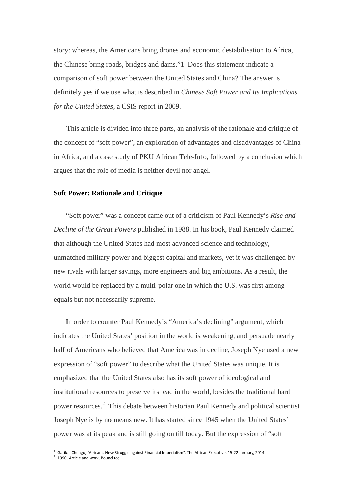story: whereas, the Americans bring drones and economic destabilisation to Africa, the Chinese bring roads, bridges and dams."1 Does this statement indicate a comparison of soft power between the United States and China? The answer is definitely yes if we use what is described in *Chinese Soft Power and Its Implications for the United States*, a CSIS report in 2009.

This article is divided into three parts, an analysis of the rationale and critique of the concept of "soft power", an exploration of advantages and disadvantages of China in Africa, and a case study of PKU African Tele-Info, followed by a conclusion which argues that the role of media is neither devil nor angel.

### **Soft Power: Rationale and Critique**

"Soft power" was a concept came out of a criticism of Paul Kennedy's *Rise and Decline of the Great Powers* published in 1988. In his book, Paul Kennedy claimed that although the United States had most advanced science and technology, unmatched military power and biggest capital and markets, yet it was challenged by new rivals with larger savings, more engineers and big ambitions. As a result, the world would be replaced by a multi-polar one in which the U.S. was first among equals but not necessarily supreme.

In order to counter Paul Kennedy's "America's declining" argument, which indicates the United States' position in the world is weakening, and persuade nearly half of Americans who believed that America was in decline, Joseph Nye used a new expression of "soft power" to describe what the United States was unique. It is emphasized that the United States also has its soft power of ideological and institutional resources to preserve its lead in the world, besides the traditional hard power resources.<sup>2</sup> This debate between historian Paul Kennedy and political scientist Joseph Nye is by no means new. It has started since 1945 when the United States' power was at its peak and is still going on till today. But the expression of "soft

 1 Garikai Chengu, "African's New Struggle against Financial Imperialism", The African Executive, 15-22 January, 2014 2 1990. Article and work, Bound to;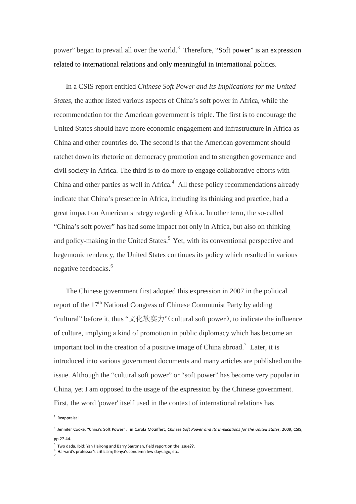power" began to prevail all over the world.<sup>3</sup> Therefore, "Soft power" is an expression related to international relations and only meaningful in international politics.

In a CSIS report entitled *Chinese Soft Power and Its Implications for the United States*, the author listed various aspects of China's soft power in Africa, while the recommendation for the American government is triple. The first is to encourage the United States should have more economic engagement and infrastructure in Africa as China and other countries do. The second is that the American government should ratchet down its rhetoric on democracy promotion and to strengthen governance and civil society in Africa. The third is to do more to engage collaborative efforts with China and other parties as well in Africa. $4$  All these policy recommendations already indicate that China's presence in Africa, including its thinking and practice, had a great impact on American strategy regarding Africa. In other term, the so-called "China's soft power" has had some impact not only in Africa, but also on thinking and policy-making in the United States.<sup>5</sup> Yet, with its conventional perspective and hegemonic tendency, the United States continues its policy which resulted in various negative feedbacks.<sup>6</sup>

The Chinese government first adopted this expression in 2007 in the political report of the  $17<sup>th</sup>$  National Congress of Chinese Communist Party by adding "cultural" before it, thus "文化软实力" (cultural soft power), to indicate the influence of culture, implying a kind of promotion in public diplomacy which has become an important tool in the creation of a positive image of China abroad.<sup>7</sup> Later, it is introduced into various government documents and many articles are published on the issue. Although the "cultural soft power" or "soft power" has become very popular in China, yet I am opposed to the usage of the expression by the Chinese government. First, the word 'power' itself used in the context of international relations has

l

<sup>&</sup>lt;sup>3</sup> Reappraisal

<sup>&</sup>lt;sup>4</sup> Jennifer Cooke, "China's Soft Power", in Carola McGiffert, *Chinese Soft Power and Its Implications for the United States*, 2009, CSIS, pp.27-44.

<sup>&</sup>lt;sup>5</sup> Two dada, Ibid; Yan Hairong and Barry Sautman, field report on the issue??.

<sup>&</sup>lt;sup>6</sup> Harvard's professor's criticism; Kenya's condemn few days ago, etc.<br><sup>7</sup>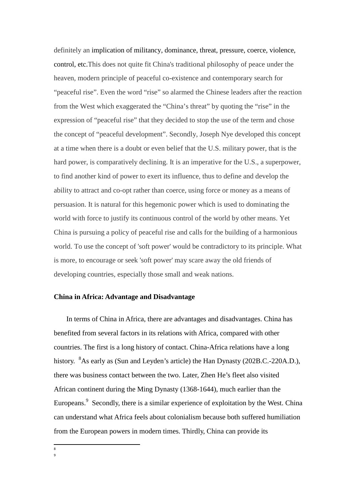definitely an implication of militancy, dominance, threat, pressure, coerce, violence, control, etc.This does not quite fit China's traditional philosophy of peace under the heaven, modern principle of peaceful co-existence and contemporary search for "peaceful rise". Even the word "rise" so alarmed the Chinese leaders after the reaction from the West which exaggerated the "China's threat" by quoting the "rise" in the expression of "peaceful rise" that they decided to stop the use of the term and chose the concept of "peaceful development". Secondly, Joseph Nye developed this concept at a time when there is a doubt or even belief that the U.S. military power, that is the hard power, is comparatively declining. It is an imperative for the U.S., a superpower, to find another kind of power to exert its influence, thus to define and develop the ability to attract and co-opt rather than coerce, using force or money as a means of persuasion. It is natural for this hegemonic power which is used to dominating the world with force to justify its continuous control of the world by other means. Yet China is pursuing a policy of peaceful rise and calls for the building of a harmonious world. To use the concept of 'soft power' would be contradictory to its principle. What is more, to encourage or seek 'soft power' may scare away the old friends of developing countries, especially those small and weak nations.

## **China in Africa: Advantage and Disadvantage**

In terms of China in Africa, there are advantages and disadvantages. China has benefited from several factors in its relations with Africa, compared with other countries. The first is a long history of contact. China-Africa relations have a long history. <sup>8</sup>As early as (Sun and Leyden's article) the Han Dynasty (202B.C.-220A.D.), there was business contact between the two. Later, Zhen He's fleet also visited African continent during the Ming Dynasty (1368-1644), much earlier than the Europeans.<sup>9</sup> Secondly, there is a similar experience of exploitation by the West. China can understand what Africa feels about colonialism because both suffered humiliation from the European powers in modern times. Thirdly, China can provide its

 8 9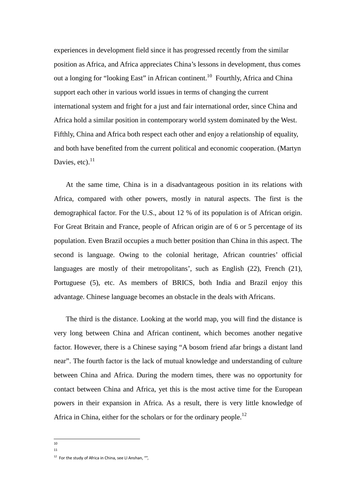experiences in development field since it has progressed recently from the similar position as Africa, and Africa appreciates China's lessons in development, thus comes out a longing for "looking East" in African continent.<sup>10</sup> Fourthly, Africa and China support each other in various world issues in terms of changing the current international system and fright for a just and fair international order, since China and Africa hold a similar position in contemporary world system dominated by the West. Fifthly, China and Africa both respect each other and enjoy a relationship of equality, and both have benefited from the current political and economic cooperation. (Martyn Davies, etc). $^{11}$ 

At the same time, China is in a disadvantageous position in its relations with Africa, compared with other powers, mostly in natural aspects. The first is the demographical factor. For the U.S., about 12 % of its population is of African origin. For Great Britain and France, people of African origin are of 6 or 5 percentage of its population. Even Brazil occupies a much better position than China in this aspect. The second is language. Owing to the colonial heritage, African countries' official languages are mostly of their metropolitans', such as English (22), French (21), Portuguese (5), etc. As members of BRICS, both India and Brazil enjoy this advantage. Chinese language becomes an obstacle in the deals with Africans.

The third is the distance. Looking at the world map, you will find the distance is very long between China and African continent, which becomes another negative factor. However, there is a Chinese saying "A bosom friend afar brings a distant land near". The fourth factor is the lack of mutual knowledge and understanding of culture between China and Africa. During the modern times, there was no opportunity for contact between China and Africa, yet this is the most active time for the European powers in their expansion in Africa. As a result, there is very little knowledge of Africa in China, either for the scholars or for the ordinary people.<sup>12</sup>

 10 11

 $12$  For the study of Africa in China, see LI Anshan, "",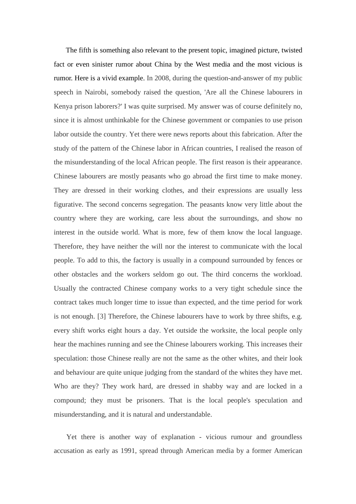The fifth is something also relevant to the present topic, imagined picture, twisted fact or even sinister rumor about China by the West media and the most vicious is rumor. Here is a vivid example. In 2008, during the question-and-answer of my public speech in Nairobi, somebody raised the question, 'Are all the Chinese labourers in Kenya prison laborers?' I was quite surprised. My answer was of course definitely no, since it is almost unthinkable for the Chinese government or companies to use prison labor outside the country. Yet there were news reports about this fabrication. After the study of the pattern of the Chinese labor in African countries, I realised the reason of the misunderstanding of the local African people. The first reason is their appearance. Chinese labourers are mostly peasants who go abroad the first time to make money. They are dressed in their working clothes, and their expressions are usually less figurative. The second concerns segregation. The peasants know very little about the country where they are working, care less about the surroundings, and show no interest in the outside world. What is more, few of them know the local language. Therefore, they have neither the will nor the interest to communicate with the local people. To add to this, the factory is usually in a compound surrounded by fences or other obstacles and the workers seldom go out. The third concerns the workload. Usually the contracted Chinese company works to a very tight schedule since the contract takes much longer time to issue than expected, and the time period for work is not enough. [3] Therefore, the Chinese labourers have to work by three shifts, e.g. every shift works eight hours a day. Yet outside the worksite, the local people only hear the machines running and see the Chinese labourers working. This increases their speculation: those Chinese really are not the same as the other whites, and their look and behaviour are quite unique judging from the standard of the whites they have met. Who are they? They work hard, are dressed in shabby way and are locked in a compound; they must be prisoners. That is the local people's speculation and misunderstanding, and it is natural and understandable.

Yet there is another way of explanation - vicious rumour and groundless accusation as early as 1991, spread through American media by a former American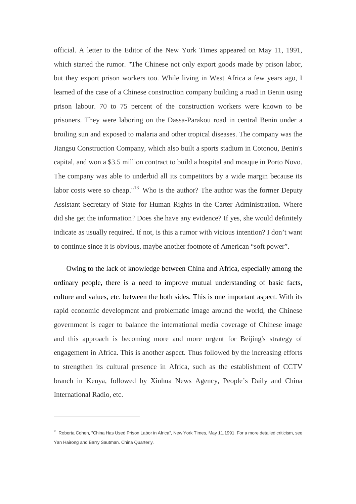official. A letter to the Editor of the New York Times appeared on May 11, 1991, which started the rumor. "The Chinese not only export goods made by prison labor, but they export prison workers too. While living in West Africa a few years ago, I learned of the case of a Chinese construction company building a road in Benin using prison labour. 70 to 75 percent of the construction workers were known to be prisoners. They were laboring on the Dassa-Parakou road in central Benin under a broiling sun and exposed to malaria and other tropical diseases. The company was the Jiangsu Construction Company, which also built a sports stadium in Cotonou, Benin's capital, and won a \$3.5 million contract to build a hospital and mosque in Porto Novo. The company was able to underbid all its competitors by a wide margin because its labor costs were so cheap."<sup>13</sup> Who is the author? The author was the former Deputy Assistant Secretary of State for Human Rights in the Carter Administration. Where did she get the information? Does she have any evidence? If yes, she would definitely indicate as usually required. If not, is this a rumor with vicious intention? I don't want to continue since it is obvious, maybe another footnote of American "soft power".

Owing to the lack of knowledge between China and Africa, especially among the ordinary people, there is a need to improve mutual understanding of basic facts, culture and values, etc. between the both sides. This is one important aspect. With its rapid economic development and problematic image around the world, the Chinese government is eager to balance the international media coverage of Chinese image and this approach is becoming more and more urgent for Beijing's strategy of engagement in Africa. This is another aspect. Thus followed by the increasing efforts to strengthen its cultural presence in Africa, such as the establishment of CCTV branch in Kenya, followed by Xinhua News Agency, People's Daily and China International Radio, etc.

 $\overline{a}$ 

<sup>&</sup>lt;sup>13</sup> Roberta Cohen, "China Has Used Prison Labor in Africa", New York Times, May 11,1991. For a more detailed criticism, see Yan Hairong and Barry Sautman. China Quarterly.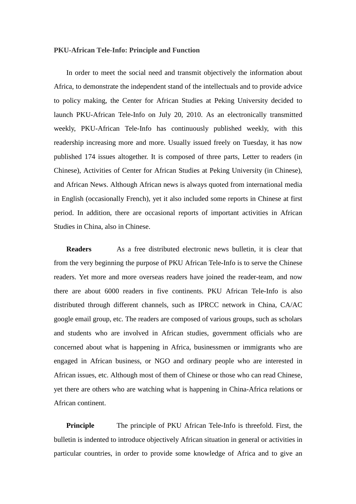### **PKU-African Tele-Info: Principle and Function**

 In order to meet the social need and transmit objectively the information about Africa, to demonstrate the independent stand of the intellectuals and to provide advice to policy making, the Center for African Studies at Peking University decided to launch PKU-African Tele-Info on July 20, 2010. As an electronically transmitted weekly, PKU-African Tele-Info has continuously published weekly, with this readership increasing more and more. Usually issued freely on Tuesday, it has now published 174 issues altogether. It is composed of three parts, Letter to readers (in Chinese), Activities of Center for African Studies at Peking University (in Chinese), and African News. Although African news is always quoted from international media in English (occasionally French), yet it also included some reports in Chinese at first period. In addition, there are occasional reports of important activities in African Studies in China, also in Chinese.

**Readers** As a free distributed electronic news bulletin, it is clear that from the very beginning the purpose of PKU African Tele-Info is to serve the Chinese readers. Yet more and more overseas readers have joined the reader-team, and now there are about 6000 readers in five continents. PKU African Tele-Info is also distributed through different channels, such as IPRCC network in China, CA/AC google email group, etc. The readers are composed of various groups, such as scholars and students who are involved in African studies, government officials who are concerned about what is happening in Africa, businessmen or immigrants who are engaged in African business, or NGO and ordinary people who are interested in African issues, etc. Although most of them of Chinese or those who can read Chinese, yet there are others who are watching what is happening in China-Africa relations or African continent.

**Principle** The principle of PKU African Tele-Info is threefold. First, the bulletin is indented to introduce objectively African situation in general or activities in particular countries, in order to provide some knowledge of Africa and to give an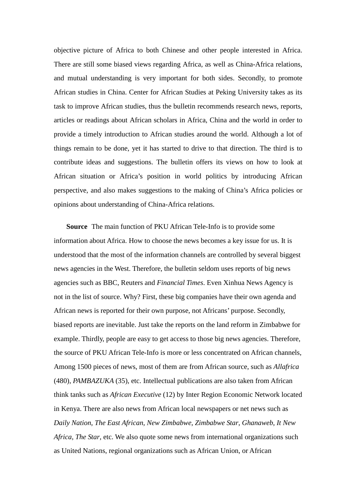objective picture of Africa to both Chinese and other people interested in Africa. There are still some biased views regarding Africa, as well as China-Africa relations, and mutual understanding is very important for both sides. Secondly, to promote African studies in China. Center for African Studies at Peking University takes as its task to improve African studies, thus the bulletin recommends research news, reports, articles or readings about African scholars in Africa, China and the world in order to provide a timely introduction to African studies around the world. Although a lot of things remain to be done, yet it has started to drive to that direction. The third is to contribute ideas and suggestions. The bulletin offers its views on how to look at African situation or Africa's position in world politics by introducing African perspective, and also makes suggestions to the making of China's Africa policies or opinions about understanding of China-Africa relations.

**Source** The main function of PKU African Tele-Info is to provide some information about Africa. How to choose the news becomes a key issue for us. It is understood that the most of the information channels are controlled by several biggest news agencies in the West. Therefore, the bulletin seldom uses reports of big news agencies such as BBC, Reuters and *Financial Times*. Even Xinhua News Agency is not in the list of source. Why? First, these big companies have their own agenda and African news is reported for their own purpose, not Africans' purpose. Secondly, biased reports are inevitable. Just take the reports on the land reform in Zimbabwe for example. Thirdly, people are easy to get access to those big news agencies. Therefore, the source of PKU African Tele-Info is more or less concentrated on African channels, Among 1500 pieces of news, most of them are from African source, such as *Allafrica* (480), *PAMBAZUKA* (35), etc. Intellectual publications are also taken from African think tanks such as *African Executive* (12) by Inter Region Economic Network located in Kenya. There are also news from African local newspapers or net news such as *Daily Nation*, *The East African*, *New Zimbabwe*, *Zimbabwe Star*, *Ghanaweb*, *It New Africa*, *The Star*, etc. We also quote some news from international organizations such as United Nations, regional organizations such as African Union, or African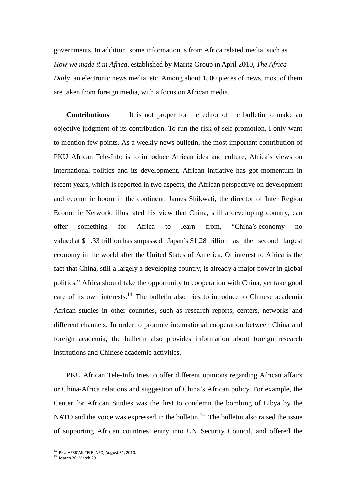governments. In addition, some information is from Africa related media, such as *How we made it in Africa,* established by Maritz Group in April 2010, *The Africa Daily*, an electronic news media, etc. Among about 1500 pieces of news, most of them are taken from foreign media, with a focus on African media.

**Contributions** It is not proper for the editor of the bulletin to make an objective judgment of its contribution. To run the risk of self-promotion, I only want to mention few points. As a weekly news bulletin, the most important contribution of PKU African Tele-Info is to introduce African idea and culture, Africa's views on international politics and its development. African initiative has got momentum in recent years, which is reported in two aspects, the African perspective on development and economic boom in the continent. James Shikwati, the director of Inter Region Economic Network, illustrated his view that China, still a developing country, can offer something for Africa to learn from, "China's economy no valued at \$ 1.33 trillion has surpassed Japan's \$1.28 trillion as the second largest economy in the world after the United States of America. Of interest to Africa is the fact that China, still a largely a developing country, is already a major power in global politics." Africa should take the opportunity to cooperation with China, yet take good care of its own interests. $<sup>14</sup>$  The bulletin also tries to introduce to Chinese academia</sup> African studies in other countries, such as research reports, centers, networks and different channels. In order to promote international cooperation between China and foreign academia, the bulletin also provides information about foreign research institutions and Chinese academic activities.

PKU African Tele-Info tries to offer different opinions regarding African affairs or China-Africa relations and suggestion of China's African policy. For example, the Center for African Studies was the first to condemn the bombing of Libya by the NATO and the voice was expressed in the bulletin.<sup>15</sup> The bulletin also raised the issue of supporting African countries' entry into UN Security Council, and offered the

l

 $14$  PKU AFRICAN TELE-INFO, August 31, 2010.

<sup>15</sup> March 20, March 29.